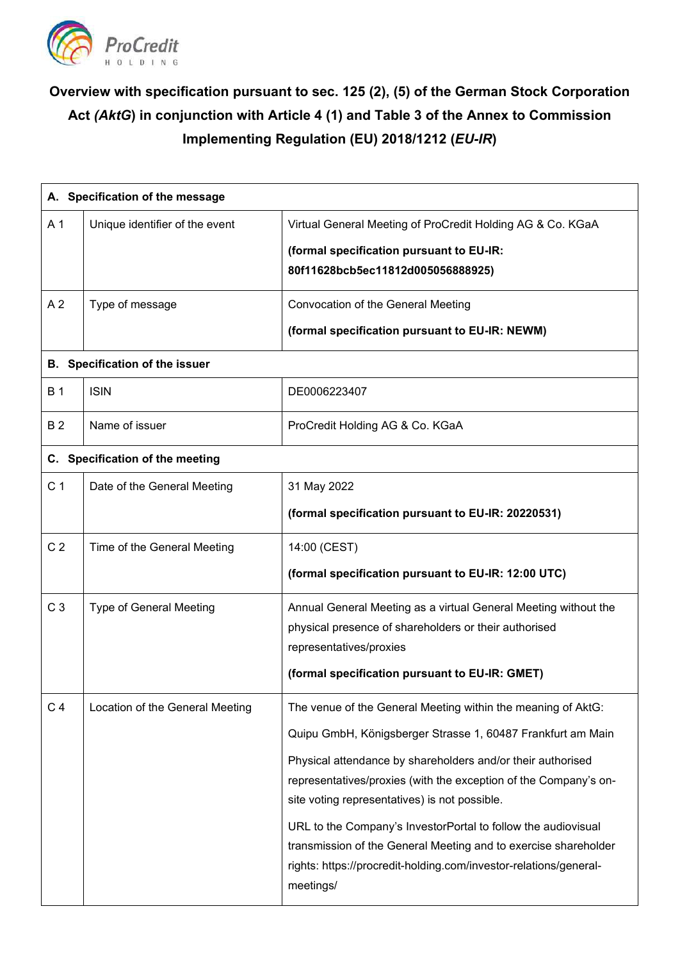

## **Overview with specification pursuant to sec. 125 (2), (5) of the German Stock Corporation Act** *(AktG***) in conjunction with Article 4 (1) and Table 3 of the Annex to Commission Implementing Regulation (EU) 2018/1212 (***EU-IR***)**

|                | A. Specification of the message |                                                                                                                                                                                                                                                                                                                                                                                                                                                                                                                                       |  |
|----------------|---------------------------------|---------------------------------------------------------------------------------------------------------------------------------------------------------------------------------------------------------------------------------------------------------------------------------------------------------------------------------------------------------------------------------------------------------------------------------------------------------------------------------------------------------------------------------------|--|
| A <sub>1</sub> | Unique identifier of the event  | Virtual General Meeting of ProCredit Holding AG & Co. KGaA<br>(formal specification pursuant to EU-IR:<br>80f11628bcb5ec11812d005056888925)                                                                                                                                                                                                                                                                                                                                                                                           |  |
| A <sub>2</sub> | Type of message                 | Convocation of the General Meeting<br>(formal specification pursuant to EU-IR: NEWM)                                                                                                                                                                                                                                                                                                                                                                                                                                                  |  |
|                | B. Specification of the issuer  |                                                                                                                                                                                                                                                                                                                                                                                                                                                                                                                                       |  |
| <b>B</b> 1     | <b>ISIN</b>                     | DE0006223407                                                                                                                                                                                                                                                                                                                                                                                                                                                                                                                          |  |
| <b>B2</b>      | Name of issuer                  | ProCredit Holding AG & Co. KGaA                                                                                                                                                                                                                                                                                                                                                                                                                                                                                                       |  |
|                | C. Specification of the meeting |                                                                                                                                                                                                                                                                                                                                                                                                                                                                                                                                       |  |
| C <sub>1</sub> | Date of the General Meeting     | 31 May 2022<br>(formal specification pursuant to EU-IR: 20220531)                                                                                                                                                                                                                                                                                                                                                                                                                                                                     |  |
| C <sub>2</sub> | Time of the General Meeting     | 14:00 (CEST)<br>(formal specification pursuant to EU-IR: 12:00 UTC)                                                                                                                                                                                                                                                                                                                                                                                                                                                                   |  |
| C <sub>3</sub> | <b>Type of General Meeting</b>  | Annual General Meeting as a virtual General Meeting without the<br>physical presence of shareholders or their authorised<br>representatives/proxies<br>(formal specification pursuant to EU-IR: GMET)                                                                                                                                                                                                                                                                                                                                 |  |
| C <sub>4</sub> | Location of the General Meeting | The venue of the General Meeting within the meaning of AktG:<br>Quipu GmbH, Königsberger Strasse 1, 60487 Frankfurt am Main<br>Physical attendance by shareholders and/or their authorised<br>representatives/proxies (with the exception of the Company's on-<br>site voting representatives) is not possible.<br>URL to the Company's InvestorPortal to follow the audiovisual<br>transmission of the General Meeting and to exercise shareholder<br>rights: https://procredit-holding.com/investor-relations/general-<br>meetings/ |  |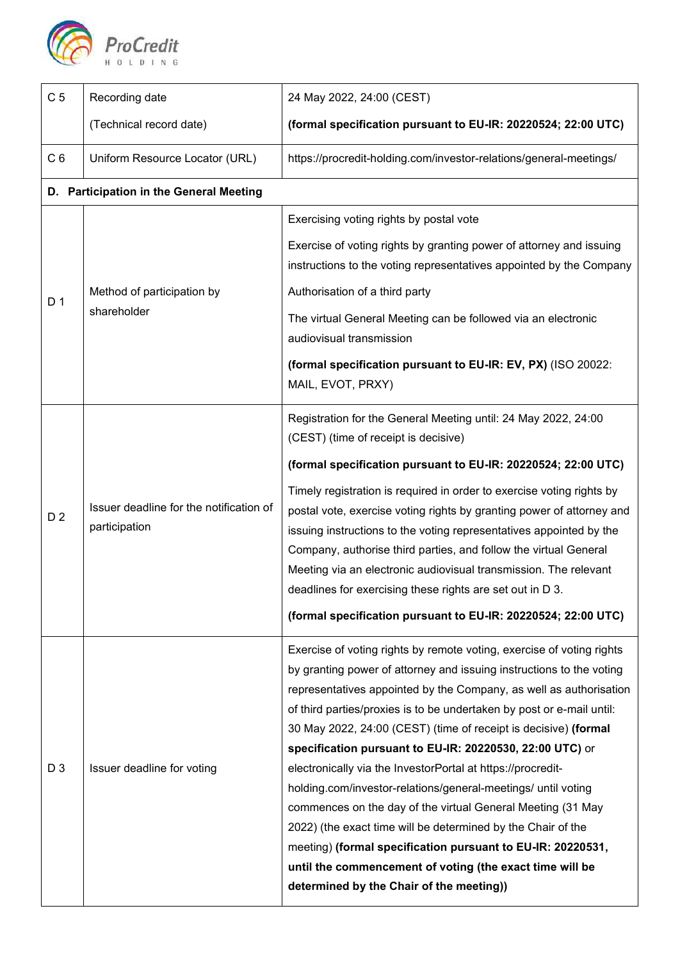

| C <sub>5</sub> | Recording date                                           | 24 May 2022, 24:00 (CEST)                                                                                                                                                                                                                                                                                                                                                                                                                                                                                                                                                                                                                                                                                                                                                                                                                                         |
|----------------|----------------------------------------------------------|-------------------------------------------------------------------------------------------------------------------------------------------------------------------------------------------------------------------------------------------------------------------------------------------------------------------------------------------------------------------------------------------------------------------------------------------------------------------------------------------------------------------------------------------------------------------------------------------------------------------------------------------------------------------------------------------------------------------------------------------------------------------------------------------------------------------------------------------------------------------|
|                | (Technical record date)                                  | (formal specification pursuant to EU-IR: 20220524; 22:00 UTC)                                                                                                                                                                                                                                                                                                                                                                                                                                                                                                                                                                                                                                                                                                                                                                                                     |
| C <sub>6</sub> | Uniform Resource Locator (URL)                           | https://procredit-holding.com/investor-relations/general-meetings/                                                                                                                                                                                                                                                                                                                                                                                                                                                                                                                                                                                                                                                                                                                                                                                                |
|                | D. Participation in the General Meeting                  |                                                                                                                                                                                                                                                                                                                                                                                                                                                                                                                                                                                                                                                                                                                                                                                                                                                                   |
|                |                                                          | Exercising voting rights by postal vote                                                                                                                                                                                                                                                                                                                                                                                                                                                                                                                                                                                                                                                                                                                                                                                                                           |
|                |                                                          | Exercise of voting rights by granting power of attorney and issuing<br>instructions to the voting representatives appointed by the Company                                                                                                                                                                                                                                                                                                                                                                                                                                                                                                                                                                                                                                                                                                                        |
| D <sub>1</sub> | Method of participation by                               | Authorisation of a third party                                                                                                                                                                                                                                                                                                                                                                                                                                                                                                                                                                                                                                                                                                                                                                                                                                    |
|                | shareholder                                              | The virtual General Meeting can be followed via an electronic<br>audiovisual transmission                                                                                                                                                                                                                                                                                                                                                                                                                                                                                                                                                                                                                                                                                                                                                                         |
|                |                                                          | (formal specification pursuant to EU-IR: EV, PX) (ISO 20022:<br>MAIL, EVOT, PRXY)                                                                                                                                                                                                                                                                                                                                                                                                                                                                                                                                                                                                                                                                                                                                                                                 |
|                |                                                          | Registration for the General Meeting until: 24 May 2022, 24:00<br>(CEST) (time of receipt is decisive)                                                                                                                                                                                                                                                                                                                                                                                                                                                                                                                                                                                                                                                                                                                                                            |
|                |                                                          | (formal specification pursuant to EU-IR: 20220524; 22:00 UTC)                                                                                                                                                                                                                                                                                                                                                                                                                                                                                                                                                                                                                                                                                                                                                                                                     |
| D <sub>2</sub> | Issuer deadline for the notification of<br>participation | Timely registration is required in order to exercise voting rights by<br>postal vote, exercise voting rights by granting power of attorney and<br>issuing instructions to the voting representatives appointed by the<br>Company, authorise third parties, and follow the virtual General<br>Meeting via an electronic audiovisual transmission. The relevant<br>deadlines for exercising these rights are set out in D 3.                                                                                                                                                                                                                                                                                                                                                                                                                                        |
|                |                                                          | (formal specification pursuant to EU-IR: 20220524; 22:00 UTC)                                                                                                                                                                                                                                                                                                                                                                                                                                                                                                                                                                                                                                                                                                                                                                                                     |
| D <sub>3</sub> | Issuer deadline for voting                               | Exercise of voting rights by remote voting, exercise of voting rights<br>by granting power of attorney and issuing instructions to the voting<br>representatives appointed by the Company, as well as authorisation<br>of third parties/proxies is to be undertaken by post or e-mail until:<br>30 May 2022, 24:00 (CEST) (time of receipt is decisive) (formal<br>specification pursuant to EU-IR: 20220530, 22:00 UTC) or<br>electronically via the InvestorPortal at https://procredit-<br>holding.com/investor-relations/general-meetings/ until voting<br>commences on the day of the virtual General Meeting (31 May<br>2022) (the exact time will be determined by the Chair of the<br>meeting) (formal specification pursuant to EU-IR: 20220531,<br>until the commencement of voting (the exact time will be<br>determined by the Chair of the meeting)) |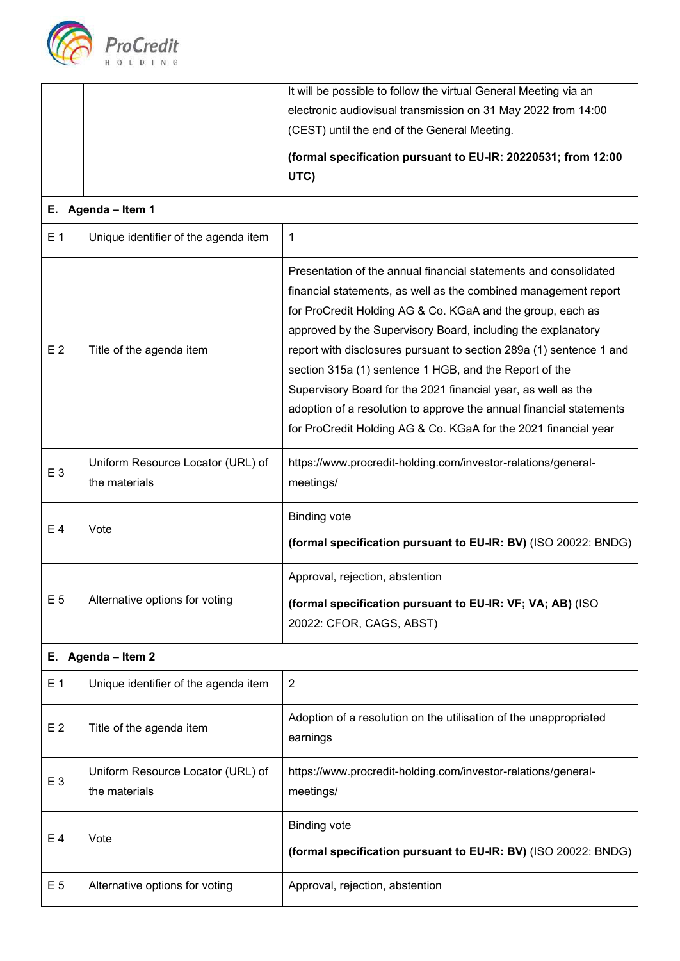

It will be possible to follow the virtual General Meeting via an electronic audiovisual transmission on 31 May 2022 from 14:00 (CEST) until the end of the General Meeting. **(formal specification pursuant to EU-IR: 20220531; from 12:00 UTC)**

| E. Agenda - Item 1    |                                                    |                                                                                                                                                                                                                                                                                                                                                                                                                                                                                                                                                                                                               |
|-----------------------|----------------------------------------------------|---------------------------------------------------------------------------------------------------------------------------------------------------------------------------------------------------------------------------------------------------------------------------------------------------------------------------------------------------------------------------------------------------------------------------------------------------------------------------------------------------------------------------------------------------------------------------------------------------------------|
| E <sub>1</sub>        | Unique identifier of the agenda item               | $\mathbf{1}$                                                                                                                                                                                                                                                                                                                                                                                                                                                                                                                                                                                                  |
| E <sub>2</sub>        | Title of the agenda item                           | Presentation of the annual financial statements and consolidated<br>financial statements, as well as the combined management report<br>for ProCredit Holding AG & Co. KGaA and the group, each as<br>approved by the Supervisory Board, including the explanatory<br>report with disclosures pursuant to section 289a (1) sentence 1 and<br>section 315a (1) sentence 1 HGB, and the Report of the<br>Supervisory Board for the 2021 financial year, as well as the<br>adoption of a resolution to approve the annual financial statements<br>for ProCredit Holding AG & Co. KGaA for the 2021 financial year |
| E 3                   | Uniform Resource Locator (URL) of<br>the materials | https://www.procredit-holding.com/investor-relations/general-<br>meetings/                                                                                                                                                                                                                                                                                                                                                                                                                                                                                                                                    |
| E 4                   | Vote                                               | <b>Binding vote</b><br>(formal specification pursuant to EU-IR: BV) (ISO 20022: BNDG)                                                                                                                                                                                                                                                                                                                                                                                                                                                                                                                         |
| E 5                   | Alternative options for voting                     | Approval, rejection, abstention<br>(formal specification pursuant to EU-IR: VF; VA; AB) (ISO<br>20022: CFOR, CAGS, ABST)                                                                                                                                                                                                                                                                                                                                                                                                                                                                                      |
| Agenda - Item 2<br>Е. |                                                    |                                                                                                                                                                                                                                                                                                                                                                                                                                                                                                                                                                                                               |
| E <sub>1</sub>        | Unique identifier of the agenda item               | $\overline{2}$                                                                                                                                                                                                                                                                                                                                                                                                                                                                                                                                                                                                |
| E <sub>2</sub>        | Title of the agenda item                           | Adoption of a resolution on the utilisation of the unappropriated<br>a wa ingine a                                                                                                                                                                                                                                                                                                                                                                                                                                                                                                                            |

| E <sub>2</sub> | Title of the agenda item                           | a received on the admeasters or the animal proprietion<br>earnings             |
|----------------|----------------------------------------------------|--------------------------------------------------------------------------------|
| E 3            | Uniform Resource Locator (URL) of<br>the materials | https://www.procredit-holding.com/investor-relations/general-<br>meetings/     |
| E 4            | Vote                                               | Binding vote<br>(formal specification pursuant to EU-IR: BV) (ISO 20022: BNDG) |
| E <sub>5</sub> | Alternative options for voting                     | Approval, rejection, abstention                                                |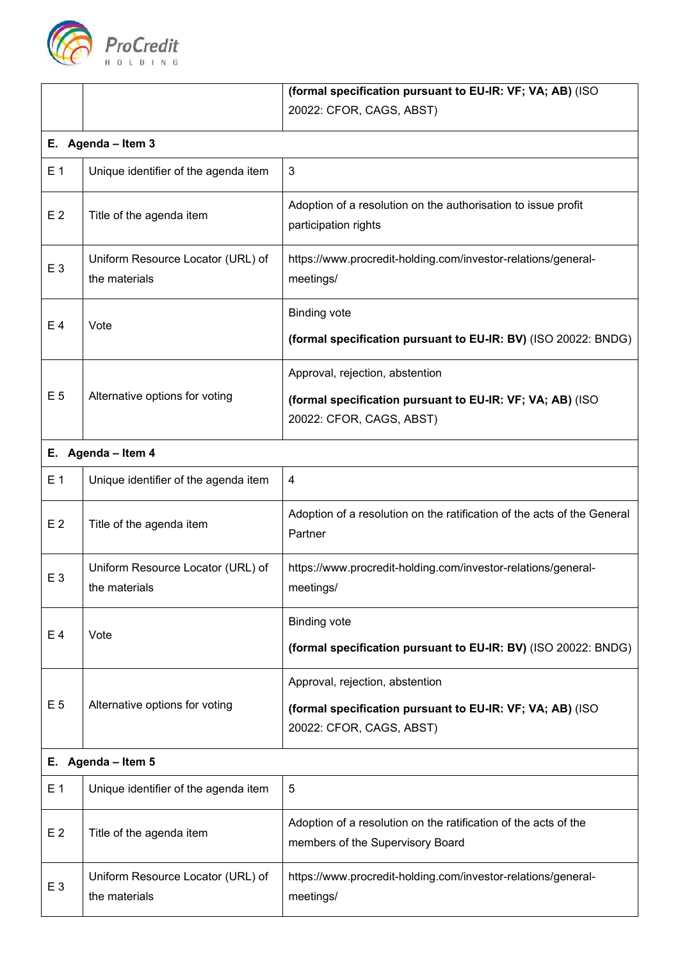

|                       |                                                    | (formal specification pursuant to EU-IR: VF; VA; AB) (ISO                                                                |
|-----------------------|----------------------------------------------------|--------------------------------------------------------------------------------------------------------------------------|
|                       |                                                    | 20022: CFOR, CAGS, ABST)                                                                                                 |
| E. Agenda - Item 3    |                                                    |                                                                                                                          |
| E <sub>1</sub>        | Unique identifier of the agenda item               | $\mathfrak{B}$                                                                                                           |
| E <sub>2</sub>        | Title of the agenda item                           | Adoption of a resolution on the authorisation to issue profit<br>participation rights                                    |
| E 3                   | Uniform Resource Locator (URL) of<br>the materials | https://www.procredit-holding.com/investor-relations/general-<br>meetings/                                               |
| E 4                   | Vote                                               | <b>Binding vote</b><br>(formal specification pursuant to EU-IR: BV) (ISO 20022: BNDG)                                    |
| E 5                   | Alternative options for voting                     | Approval, rejection, abstention<br>(formal specification pursuant to EU-IR: VF; VA; AB) (ISO<br>20022: CFOR, CAGS, ABST) |
| Agenda - Item 4<br>Е. |                                                    |                                                                                                                          |
|                       |                                                    |                                                                                                                          |
| E <sub>1</sub>        | Unique identifier of the agenda item               | $\overline{4}$                                                                                                           |
| E <sub>2</sub>        | Title of the agenda item                           | Adoption of a resolution on the ratification of the acts of the General<br>Partner                                       |
| E <sub>3</sub>        | Uniform Resource Locator (URL) of<br>the materials | https://www.procredit-holding.com/investor-relations/general-<br>meetings/                                               |
| E 4                   | Vote                                               | <b>Binding vote</b><br>(formal specification pursuant to EU-IR: BV) (ISO 20022: BNDG)                                    |
| E 5                   | Alternative options for voting                     | Approval, rejection, abstention<br>(formal specification pursuant to EU-IR: VF; VA; AB) (ISO<br>20022: CFOR, CAGS, ABST) |
| Е.                    | Agenda - Item 5                                    |                                                                                                                          |

| E <sub>1</sub> | Unique identifier of the agenda item               | 5                                                                                                   |
|----------------|----------------------------------------------------|-----------------------------------------------------------------------------------------------------|
| E <sub>2</sub> | Title of the agenda item                           | Adoption of a resolution on the ratification of the acts of the<br>members of the Supervisory Board |
| E <sub>3</sub> | Uniform Resource Locator (URL) of<br>the materials | https://www.procredit-holding.com/investor-relations/general-<br>meetings/                          |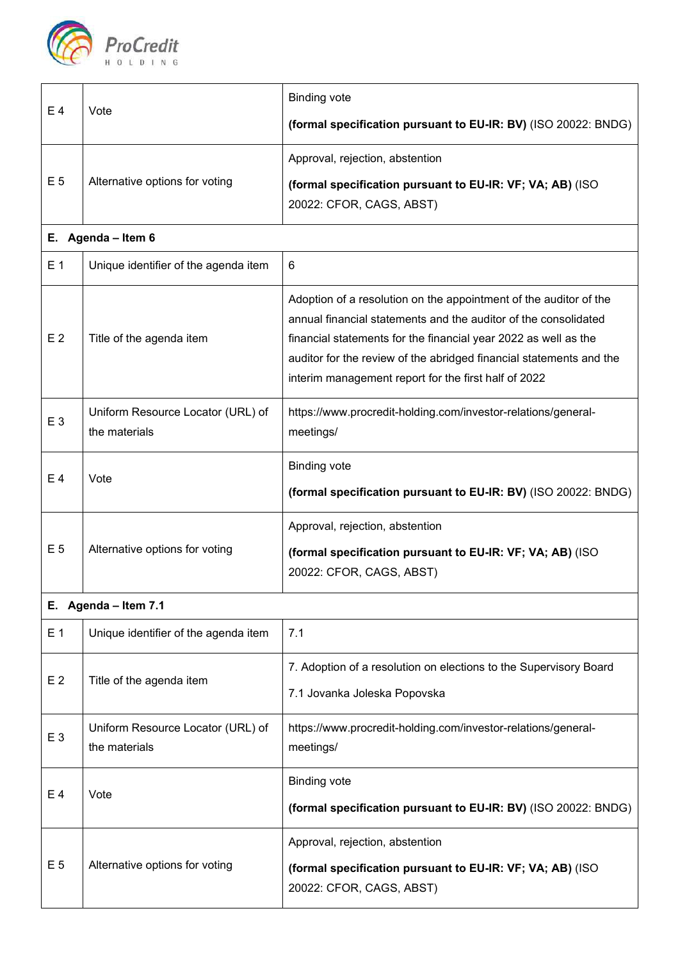

| $E_4$          | Vote                                               | <b>Binding vote</b>                                                                                                                                                                                                                                                                                                                    |
|----------------|----------------------------------------------------|----------------------------------------------------------------------------------------------------------------------------------------------------------------------------------------------------------------------------------------------------------------------------------------------------------------------------------------|
|                |                                                    | (formal specification pursuant to EU-IR: BV) (ISO 20022: BNDG)                                                                                                                                                                                                                                                                         |
|                |                                                    | Approval, rejection, abstention                                                                                                                                                                                                                                                                                                        |
| E <sub>5</sub> | Alternative options for voting                     | (formal specification pursuant to EU-IR: VF; VA; AB) (ISO<br>20022: CFOR, CAGS, ABST)                                                                                                                                                                                                                                                  |
| Е.             | Agenda - Item 6                                    |                                                                                                                                                                                                                                                                                                                                        |
| E <sub>1</sub> | Unique identifier of the agenda item               | 6                                                                                                                                                                                                                                                                                                                                      |
| E <sub>2</sub> | Title of the agenda item                           | Adoption of a resolution on the appointment of the auditor of the<br>annual financial statements and the auditor of the consolidated<br>financial statements for the financial year 2022 as well as the<br>auditor for the review of the abridged financial statements and the<br>interim management report for the first half of 2022 |
| E 3            | Uniform Resource Locator (URL) of<br>the materials | https://www.procredit-holding.com/investor-relations/general-<br>meetings/                                                                                                                                                                                                                                                             |
| $E_4$          | Vote                                               | <b>Binding vote</b><br>(formal specification pursuant to EU-IR: BV) (ISO 20022: BNDG)                                                                                                                                                                                                                                                  |
| E 5            | Alternative options for voting                     | Approval, rejection, abstention<br>(formal specification pursuant to EU-IR: VF; VA; AB) (ISO<br>20022: CFOR, CAGS, ABST)                                                                                                                                                                                                               |
| Е.             | Agenda - Item 7.1                                  |                                                                                                                                                                                                                                                                                                                                        |
| E 1            | Unique identifier of the agenda item               | 7.1                                                                                                                                                                                                                                                                                                                                    |
| E <sub>2</sub> | Title of the agenda item                           | 7. Adoption of a resolution on elections to the Supervisory Board<br>7.1 Jovanka Joleska Popovska                                                                                                                                                                                                                                      |
| E 3            | Uniform Resource Locator (URL) of<br>the materials | https://www.procredit-holding.com/investor-relations/general-<br>meetings/                                                                                                                                                                                                                                                             |
| E 4            | Vote                                               | <b>Binding vote</b><br>(formal specification pursuant to EU-IR: BV) (ISO 20022: BNDG)                                                                                                                                                                                                                                                  |
| E <sub>5</sub> | Alternative options for voting                     | Approval, rejection, abstention<br>(formal specification pursuant to EU-IR: VF; VA; AB) (ISO<br>20022: CFOR, CAGS, ABST)                                                                                                                                                                                                               |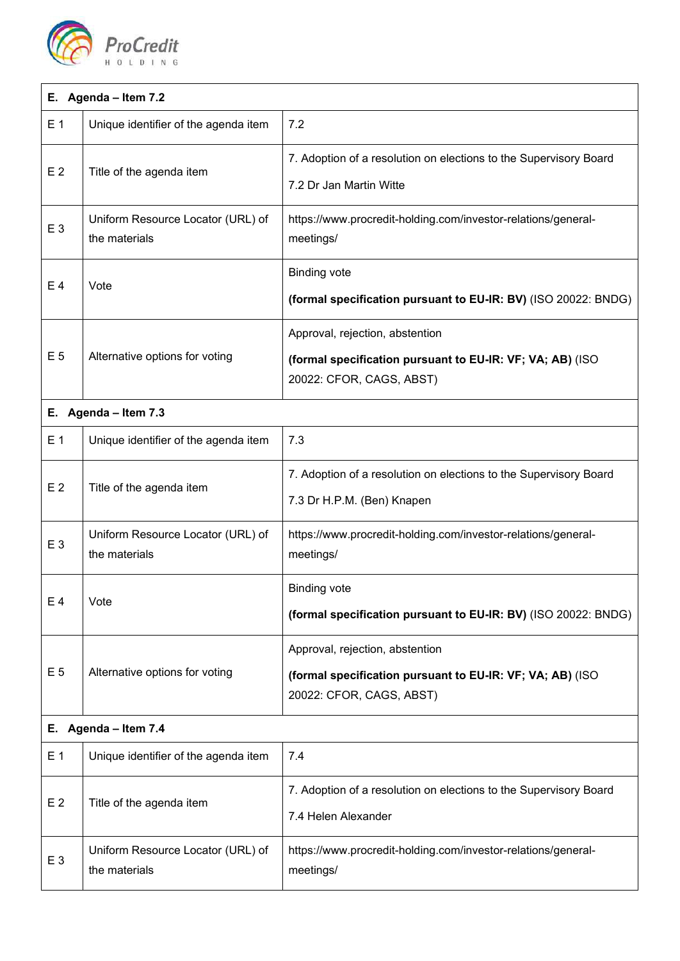

| E. Agenda - Item 7.2    |                                                    |                                                                                                                          |
|-------------------------|----------------------------------------------------|--------------------------------------------------------------------------------------------------------------------------|
| E <sub>1</sub>          | Unique identifier of the agenda item               | 7.2                                                                                                                      |
| E <sub>2</sub>          | Title of the agenda item                           | 7. Adoption of a resolution on elections to the Supervisory Board<br>7.2 Dr Jan Martin Witte                             |
| E 3                     | Uniform Resource Locator (URL) of<br>the materials | https://www.procredit-holding.com/investor-relations/general-<br>meetings/                                               |
| $E_4$                   | Vote                                               | <b>Binding vote</b><br>(formal specification pursuant to EU-IR: BV) (ISO 20022: BNDG)                                    |
| E <sub>5</sub>          | Alternative options for voting                     | Approval, rejection, abstention<br>(formal specification pursuant to EU-IR: VF; VA; AB) (ISO<br>20022: CFOR, CAGS, ABST) |
| Е.                      | Agenda - Item 7.3                                  |                                                                                                                          |
| E <sub>1</sub>          | Unique identifier of the agenda item               | 7.3                                                                                                                      |
| E <sub>2</sub>          | Title of the agenda item                           | 7. Adoption of a resolution on elections to the Supervisory Board<br>7.3 Dr H.P.M. (Ben) Knapen                          |
| E 3                     | Uniform Resource Locator (URL) of<br>the materials | https://www.procredit-holding.com/investor-relations/general-<br>meetings/                                               |
| E 4                     | Vote                                               | <b>Binding vote</b><br>(formal specification pursuant to EU-IR: BV) (ISO 20022: BNDG)                                    |
| E <sub>5</sub>          | Alternative options for voting                     | Approval, rejection, abstention<br>(formal specification pursuant to EU-IR: VF; VA; AB) (ISO<br>20022: CFOR, CAGS, ABST) |
| Agenda - Item 7.4<br>Е. |                                                    |                                                                                                                          |
| E <sub>1</sub>          | Unique identifier of the agenda item               | 7.4                                                                                                                      |
| E <sub>2</sub>          | Title of the agenda item                           | 7. Adoption of a resolution on elections to the Supervisory Board<br>7.4 Helen Alexander                                 |
| E 3                     | Uniform Resource Locator (URL) of<br>the materials | https://www.procredit-holding.com/investor-relations/general-<br>meetings/                                               |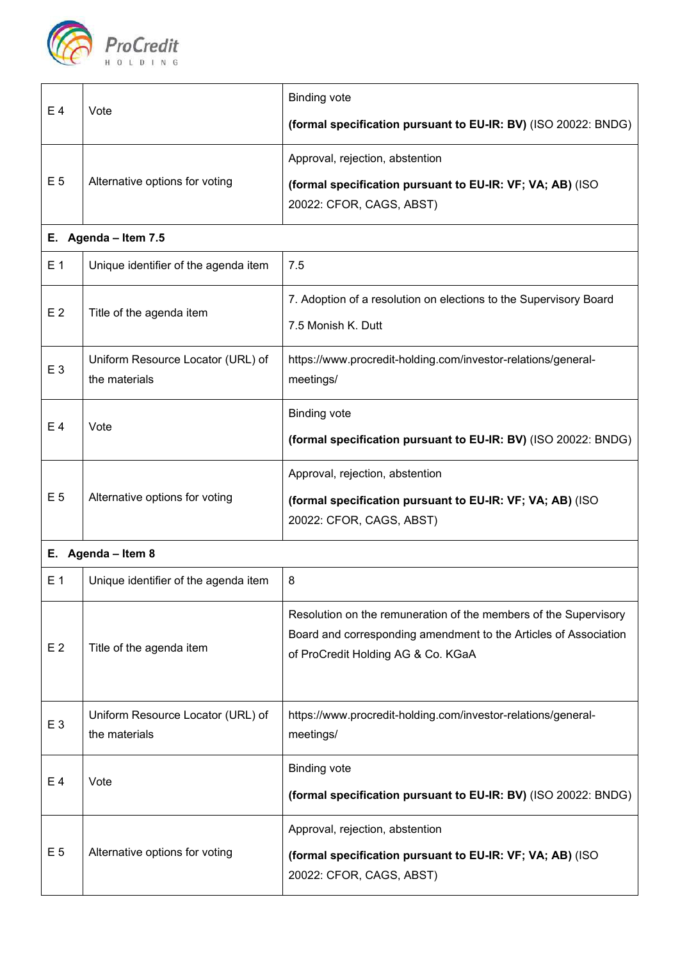

| E 4            | Vote                                               | <b>Binding vote</b><br>(formal specification pursuant to EU-IR: BV) (ISO 20022: BNDG)                                                                                      |
|----------------|----------------------------------------------------|----------------------------------------------------------------------------------------------------------------------------------------------------------------------------|
| E 5            | Alternative options for voting                     | Approval, rejection, abstention<br>(formal specification pursuant to EU-IR: VF; VA; AB) (ISO<br>20022: CFOR, CAGS, ABST)                                                   |
|                | E. Agenda - Item 7.5                               |                                                                                                                                                                            |
| E <sub>1</sub> | Unique identifier of the agenda item               | 7.5                                                                                                                                                                        |
| E <sub>2</sub> | Title of the agenda item                           | 7. Adoption of a resolution on elections to the Supervisory Board<br>7.5 Monish K. Dutt                                                                                    |
| E 3            | Uniform Resource Locator (URL) of<br>the materials | https://www.procredit-holding.com/investor-relations/general-<br>meetings/                                                                                                 |
| E 4            | Vote                                               | <b>Binding vote</b><br>(formal specification pursuant to EU-IR: BV) (ISO 20022: BNDG)                                                                                      |
| E 5            | Alternative options for voting                     | Approval, rejection, abstention<br>(formal specification pursuant to EU-IR: VF; VA; AB) (ISO<br>20022: CFOR, CAGS, ABST)                                                   |
|                | E. Agenda - Item 8                                 |                                                                                                                                                                            |
| E 1            | Unique identifier of the agenda item               | 8                                                                                                                                                                          |
| E <sub>2</sub> | Title of the agenda item                           | Resolution on the remuneration of the members of the Supervisory<br>Board and corresponding amendment to the Articles of Association<br>of ProCredit Holding AG & Co. KGaA |
| E <sub>3</sub> | Uniform Resource Locator (URL) of<br>the materials | https://www.procredit-holding.com/investor-relations/general-<br>meetings/                                                                                                 |
| E 4            | Vote                                               | <b>Binding vote</b><br>(formal specification pursuant to EU-IR: BV) (ISO 20022: BNDG)                                                                                      |
| E 5            | Alternative options for voting                     | Approval, rejection, abstention<br>(formal specification pursuant to EU-IR: VF; VA; AB) (ISO<br>20022: CFOR, CAGS, ABST)                                                   |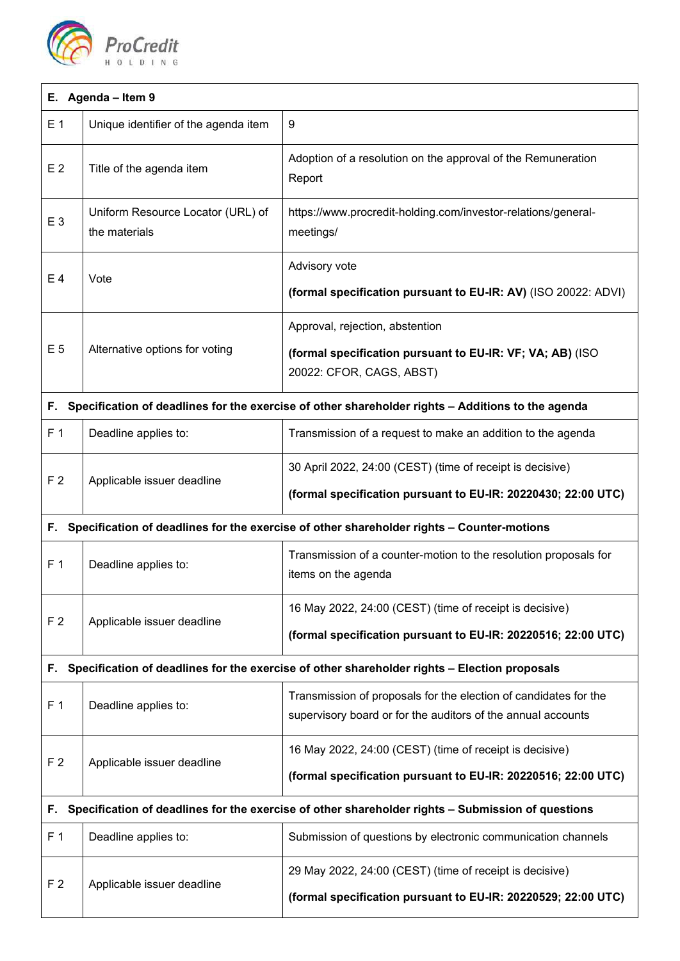

| E. Agenda - Item 9                                                                                      |                                                    |                                                                                                                                  |
|---------------------------------------------------------------------------------------------------------|----------------------------------------------------|----------------------------------------------------------------------------------------------------------------------------------|
| E 1                                                                                                     | Unique identifier of the agenda item               | 9                                                                                                                                |
| E <sub>2</sub>                                                                                          | Title of the agenda item                           | Adoption of a resolution on the approval of the Remuneration<br>Report                                                           |
| E <sub>3</sub>                                                                                          | Uniform Resource Locator (URL) of<br>the materials | https://www.procredit-holding.com/investor-relations/general-<br>meetings/                                                       |
| E4                                                                                                      | Vote                                               | Advisory vote<br>(formal specification pursuant to EU-IR: AV) (ISO 20022: ADVI)                                                  |
| E 5                                                                                                     | Alternative options for voting                     | Approval, rejection, abstention<br>(formal specification pursuant to EU-IR: VF; VA; AB) (ISO<br>20022: CFOR, CAGS, ABST)         |
| F.                                                                                                      |                                                    | Specification of deadlines for the exercise of other shareholder rights - Additions to the agenda                                |
| F <sub>1</sub>                                                                                          | Deadline applies to:                               | Transmission of a request to make an addition to the agenda                                                                      |
| F <sub>2</sub>                                                                                          | Applicable issuer deadline                         | 30 April 2022, 24:00 (CEST) (time of receipt is decisive)<br>(formal specification pursuant to EU-IR: 20220430; 22:00 UTC)       |
| Е.                                                                                                      |                                                    | Specification of deadlines for the exercise of other shareholder rights - Counter-motions                                        |
| F 1                                                                                                     | Deadline applies to:                               | Transmission of a counter-motion to the resolution proposals for<br>items on the agenda                                          |
| F <sub>2</sub>                                                                                          | Applicable issuer deadline                         | 16 May 2022, 24:00 (CEST) (time of receipt is decisive)<br>(formal specification pursuant to EU-IR: 20220516; 22:00 UTC)         |
| Specification of deadlines for the exercise of other shareholder rights - Election proposals<br>F.      |                                                    |                                                                                                                                  |
| F 1                                                                                                     | Deadline applies to:                               | Transmission of proposals for the election of candidates for the<br>supervisory board or for the auditors of the annual accounts |
| F <sub>2</sub>                                                                                          | Applicable issuer deadline                         | 16 May 2022, 24:00 (CEST) (time of receipt is decisive)<br>(formal specification pursuant to EU-IR: 20220516; 22:00 UTC)         |
| Specification of deadlines for the exercise of other shareholder rights - Submission of questions<br>F. |                                                    |                                                                                                                                  |
| F 1                                                                                                     | Deadline applies to:                               | Submission of questions by electronic communication channels                                                                     |
| F <sub>2</sub>                                                                                          | Applicable issuer deadline                         | 29 May 2022, 24:00 (CEST) (time of receipt is decisive)<br>(formal specification pursuant to EU-IR: 20220529; 22:00 UTC)         |